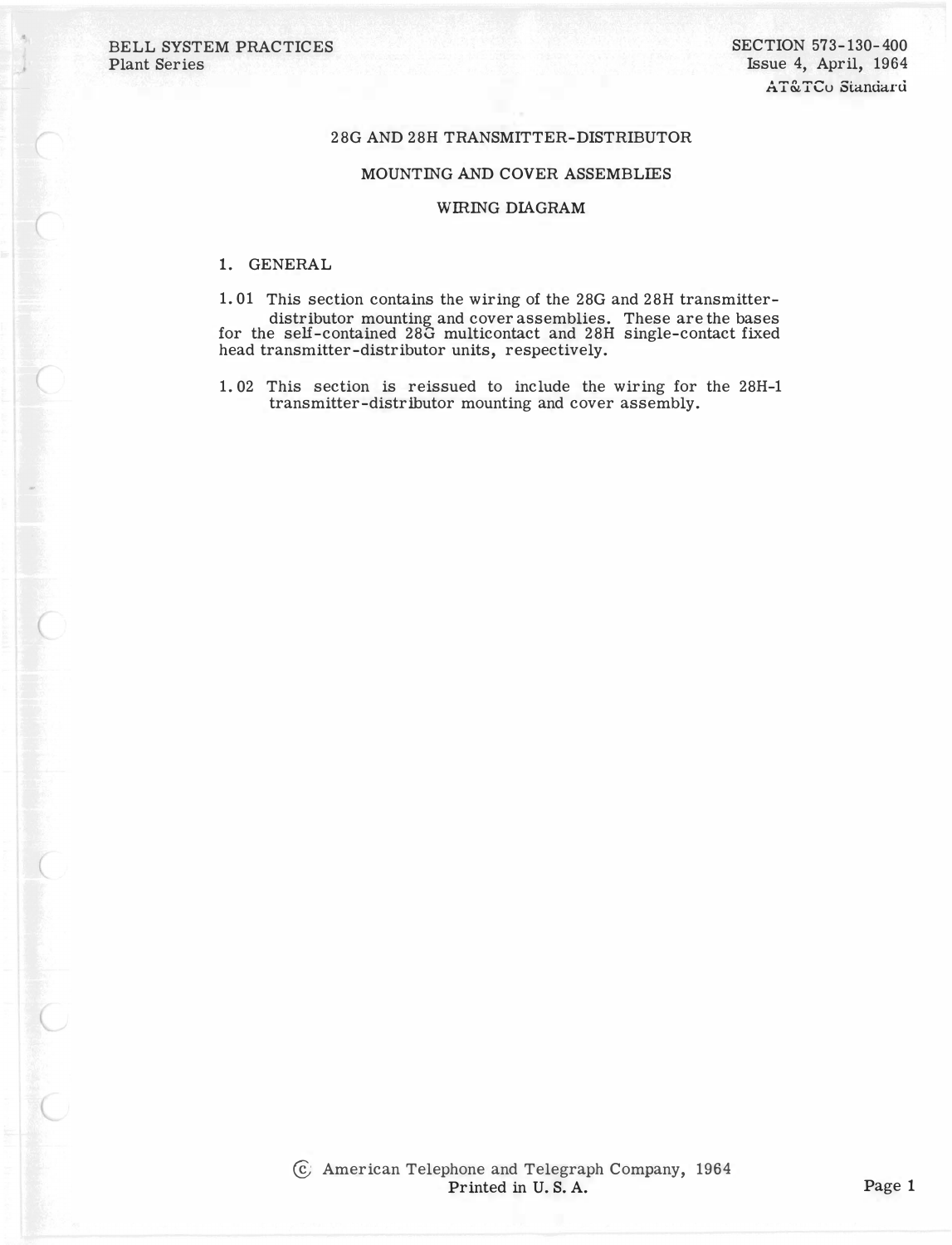BELL SYSTEM PRACTICES Plant Series

## 28G AND 28H TRANSMITTER-DISTRIBUTOR

## MOUNTING AND COVER ASSEMBLIES

## WIRING DIAGRAM

## 1. GENERAL

1. 01 This section contains the wiring of the 28G and 28H transmitterdistributor mounting and cover assemblies. These are the bases for the self-contained 28G multicontact and 28H single-contact fixed head transmitter-distributor units, respectively.

1. 02 This section is reissued to include the wiring for the 28H-1 transmitter-distributor mounting and cover assembly.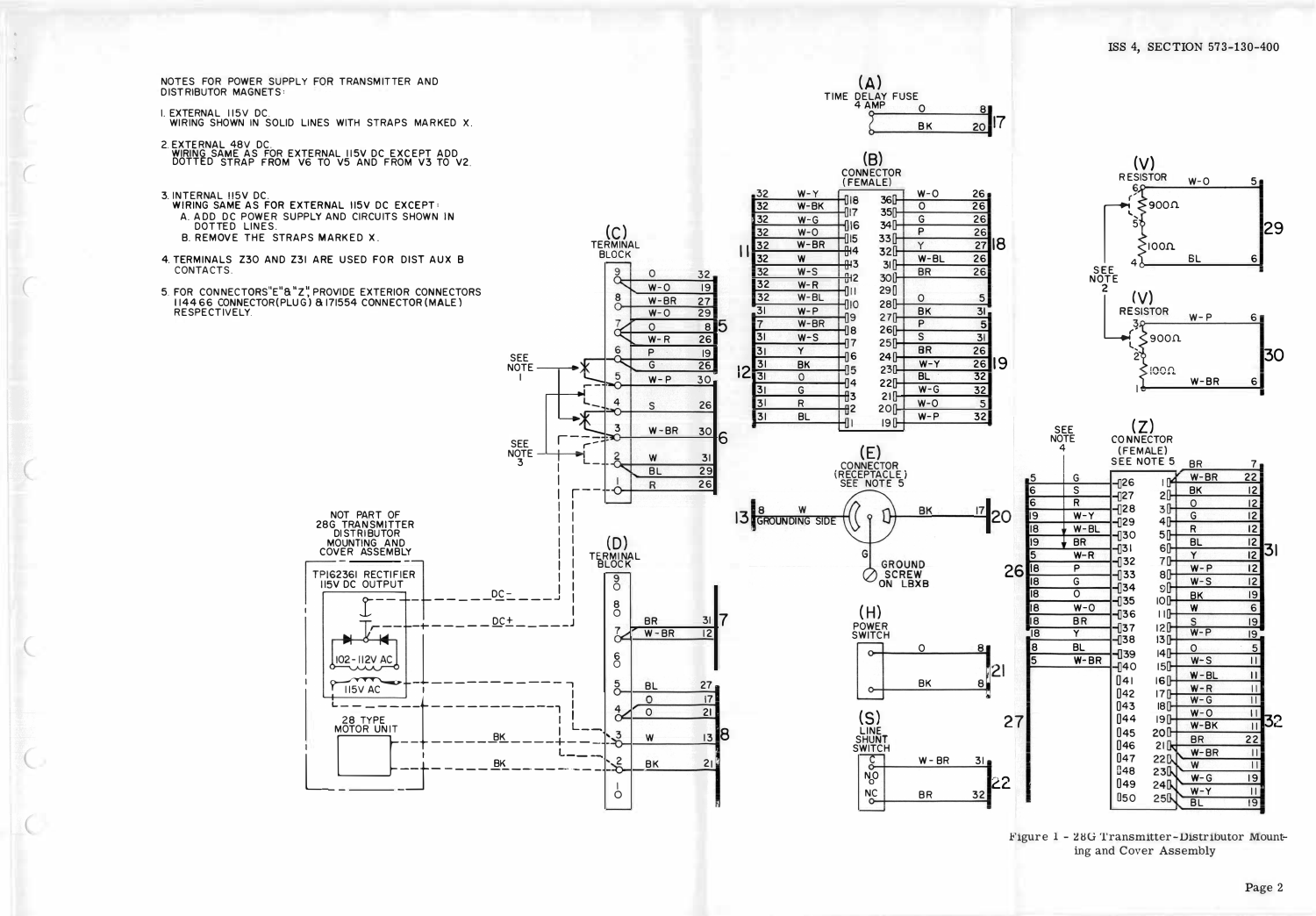NOTES FOR POWER SUPPLY FOR TRANSMITTER AND **DISTRIBUTOR MAGNETS:** 

- I. EXTERNAL 115V DC.
- WIRING SHOWN IN SOLID LINES WITH STRAPS MARKED X.
- 2.EXTERNAL 48V DC.<br>WIRING SAME AS FOR EXTERNAL 115V DC EXCEPT ADD.<br>DOTTED STRAP FROM V6 TO V5 AND FROM V3 TO V2.
- 3. INTERNAL 115V DC.
- WIRING SAME AS FOR EXTERNAL 115V DC EXCEPT: A. ADD DC POWER SUPPLY AND CIRCUITS SHOWN IN DOTTED LINES.
- B. REMOVE THE STRAPS MARKED X.
- 4. TERMINALS Z30 AND Z31 ARE USED FOR DIST AUX B CONTACTS.
- 5. FOR CONNECTORS"E"&"Z", PROVIDE EXTERIOR CONNECTORS<br>114466 CONNECTOR(PLUG) & 171554 CONNECTOR(MALE) RESPECTIVELY.



 $(A)$ 

TIME DELAY FUSE

**BK** 

 $20$ 



Figure 1 - 28G Transmitter-Distributor Mounting and Cover Assembly